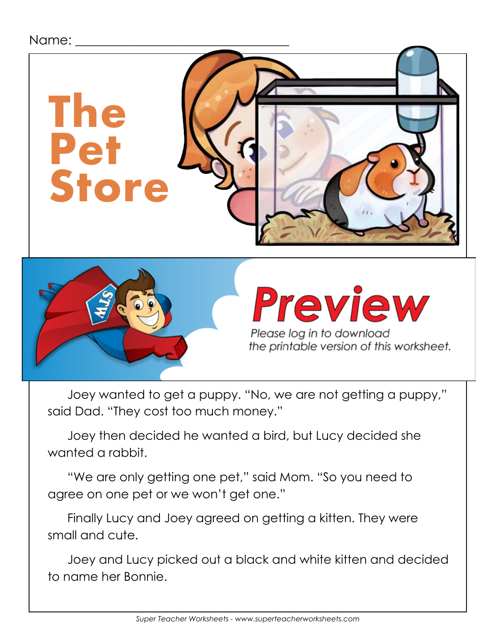## Name:



Joey wanted to get a puppy. "No, we are not getting a puppy," said Dad. "They cost too much money."

Joey then decided he wanted a bird, but Lucy decided she wanted a rabbit.

"We are only getting one pet," said Mom. "So you need to agree on one pet or we won't get one."

Finally Lucy and Joey agreed on getting a kitten. They were small and cute.

Joey and Lucy picked out a black and white kitten and decided to name her Bonnie.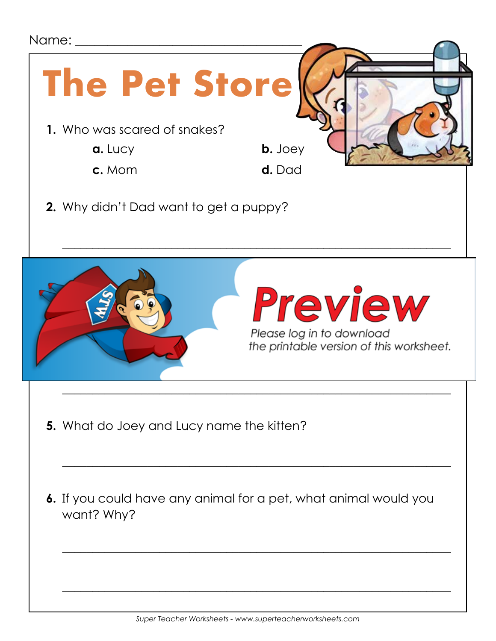